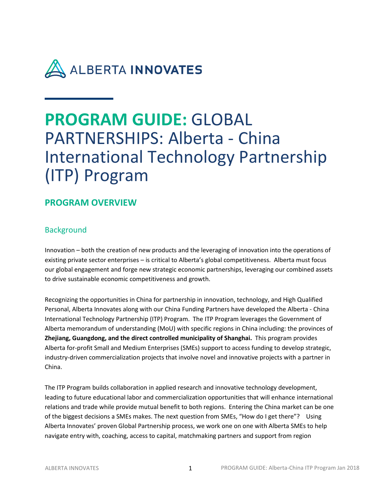

# **PROGRAM GUIDE:** GLOBAL PARTNERSHIPS: Alberta - China International Technology Partnership (ITP) Program

### **PROGRAM OVERVIEW**

### **Background**

Innovation – both the creation of new products and the leveraging of innovation into the operations of existing private sector enterprises – is critical to Alberta's global competitiveness. Alberta must focus our global engagement and forge new strategic economic partnerships, leveraging our combined assets to drive sustainable economic competitiveness and growth.

Recognizing the opportunities in China for partnership in innovation, technology, and High Qualified Personal, Alberta Innovates along with our China Funding Partners have developed the Alberta - China International Technology Partnership (ITP) Program. The ITP Program leverages the Government of Alberta memorandum of understanding (MoU) with specific regions in China including: the provinces of **Zhejiang, Guangdong, and the direct controlled municipality of Shanghai.** This program provides Alberta for-profit Small and Medium Enterprises (SMEs) support to access funding to develop strategic, industry-driven commercialization projects that involve novel and innovative projects with a partner in China.

The ITP Program builds collaboration in applied research and innovative technology development, leading to future educational labor and commercialization opportunities that will enhance international relations and trade while provide mutual benefit to both regions. Entering the China market can be one of the biggest decisions a SMEs makes. The next question from SMEs, "How do I get there"? Using Alberta Innovates' proven Global Partnership process, we work one on one with Alberta SMEs to help navigate entry with, coaching, access to capital, matchmaking partners and support from region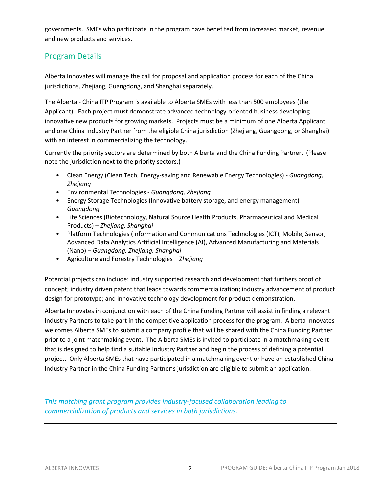governments. SMEs who participate in the program have benefited from increased market, revenue and new products and services.

### Program Details

Alberta Innovates will manage the call for proposal and application process for each of the China jurisdictions, Zhejiang, Guangdong, and Shanghai separately.

The Alberta - China ITP Program is available to Alberta SMEs with less than 500 employees (the Applicant). Each project must demonstrate advanced technology-oriented business developing innovative new products for growing markets. Projects must be a minimum of one Alberta Applicant and one China Industry Partner from the eligible China jurisdiction (Zhejiang, Guangdong, or Shanghai) with an interest in commercializing the technology.

Currently the priority sectors are determined by both Alberta and the China Funding Partner. (Please note the jurisdiction next to the priority sectors.)

- Clean Energy (Clean Tech, Energy-saving and Renewable Energy Technologies) *Guangdong, Zhejiang*
- Environmental Technologies *Guangdong, Zhejiang*
- Energy Storage Technologies (Innovative battery storage, and energy management) *Guangdong*
- Life Sciences (Biotechnology, Natural Source Health Products, Pharmaceutical and Medical Products) – *Zhejiang, Shanghai*
- Platform Technologies (Information and Communications Technologies (ICT), Mobile, Sensor, Advanced Data Analytics Artificial Intelligence (AI), Advanced Manufacturing and Materials (Nano) – *Guangdong, Zhejiang, Shanghai*
- Agriculture and Forestry Technologies Z*hejiang*

Potential projects can include: industry supported research and development that furthers proof of concept; industry driven patent that leads towards commercialization; industry advancement of product design for prototype; and innovative technology development for product demonstration.

Alberta Innovates in conjunction with each of the China Funding Partner will assist in finding a relevant Industry Partners to take part in the competitive application process for the program. Alberta Innovates welcomes Alberta SMEs to submit a company profile that will be shared with the China Funding Partner prior to a joint matchmaking event. The Alberta SMEs is invited to participate in a matchmaking event that is designed to help find a suitable Industry Partner and begin the process of defining a potential project. Only Alberta SMEs that have participated in a matchmaking event or have an established China Industry Partner in the China Funding Partner's jurisdiction are eligible to submit an application.

*This matching grant program provides industry-focused collaboration leading to commercialization of products and services in both jurisdictions.*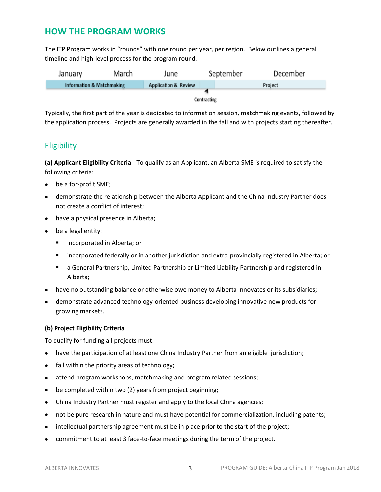### **HOW THE PROGRAM WORKS**

The ITP Program works in "rounds" with one round per year, per region. Below outlines a general timeline and high-level process for the program round.

| January                   | March | June                            | September | December |  |  |  |
|---------------------------|-------|---------------------------------|-----------|----------|--|--|--|
| Information & Matchmaking |       | <b>Application &amp; Review</b> |           | Project  |  |  |  |
|                           |       |                                 |           |          |  |  |  |
| Contracting               |       |                                 |           |          |  |  |  |

Typically, the first part of the year is dedicated to information session, matchmaking events, followed by the application process. Projects are generally awarded in the fall and with projects starting thereafter.

### **Eligibility**

**(a) Applicant Eligibility Criteria** - To qualify as an Applicant, an Alberta SME is required to satisfy the following criteria:

- be a for-profit SME;
- demonstrate the relationship between the Alberta Applicant and the China Industry Partner does not create a conflict of interest;
- have a physical presence in Alberta;
- be a legal entity:
	- **EXECO in Alberta; or**
	- incorporated federally or in another jurisdiction and extra-provincially registered in Alberta; or
	- a General Partnership, Limited Partnership or Limited Liability Partnership and registered in Alberta;
- have no outstanding balance or otherwise owe money to Alberta Innovates or its subsidiaries;
- demonstrate advanced technology-oriented business developing innovative new products for growing markets.

#### **(b) Project Eligibility Criteria**

To qualify for funding all projects must:

- have the participation of at least one China Industry Partner from an eligible jurisdiction;
- fall within the priority areas of technology;
- attend program workshops, matchmaking and program related sessions;
- be completed within two (2) years from project beginning;
- China Industry Partner must register and apply to the local China agencies;
- not be pure research in nature and must have potential for commercialization, including patents;
- intellectual partnership agreement must be in place prior to the start of the project;
- commitment to at least 3 face-to-face meetings during the term of the project.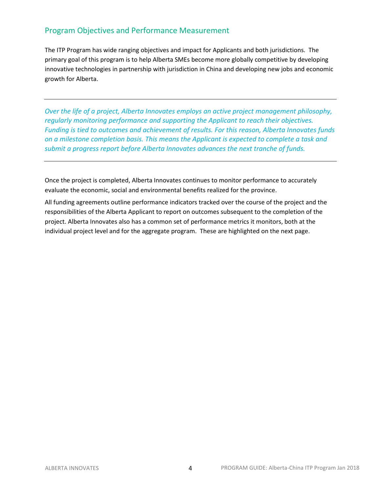### Program Objectives and Performance Measurement

The ITP Program has wide ranging objectives and impact for Applicants and both jurisdictions. The primary goal of this program is to help Alberta SMEs become more globally competitive by developing innovative technologies in partnership with jurisdiction in China and developing new jobs and economic growth for Alberta.

*Over the life of a project, Alberta Innovates employs an active project management philosophy, regularly monitoring performance and supporting the Applicant to reach their objectives. Funding is tied to outcomes and achievement of results. For this reason, Alberta Innovates funds on a milestone completion basis. This means the Applicant is expected to complete a task and submit a progress report before Alberta Innovates advances the next tranche of funds.* 

Once the project is completed, Alberta Innovates continues to monitor performance to accurately evaluate the economic, social and environmental benefits realized for the province.

All funding agreements outline performance indicators tracked over the course of the project and the responsibilities of the Alberta Applicant to report on outcomes subsequent to the completion of the project. Alberta Innovates also has a common set of performance metrics it monitors, both at the individual project level and for the aggregate program. These are highlighted on the next page.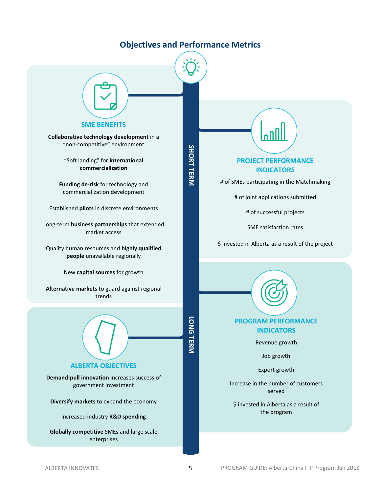### **Objectives and Performance Metrics**

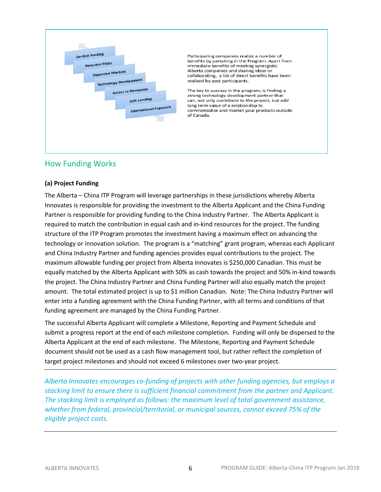

Participating companies realize a number of benefits by partaking in the Program. Apart from immediate benefits of meeting synergistic Alberta companies and sharing ideas or collaborating, a list of direct benefits have been realized by past participants.

The key to success in the program, is finding a strong technology development partner that can, not only contribute to the project, but add long term value of a relationship to commercialize and market your products outside of Canada.

### How Funding Works

#### **(a) Project Funding**

The Alberta – China ITP Program will leverage partnerships in these jurisdictions whereby Alberta Innovates is responsible for providing the investment to the Alberta Applicant and the China Funding Partner is responsible for providing funding to the China Industry Partner. The Alberta Applicant is required to match the contribution in equal cash and in-kind resources for the project. The funding structure of the ITP Program promotes the investment having a maximum effect on advancing the technology or innovation solution. The program is a "matching" grant program, whereas each Applicant and China Industry Partner and funding agencies provides equal contributions to the project. The maximum allowable funding per project from Alberta Innovates is \$250,000 Canadian. This must be equally matched by the Alberta Applicant with 50% as cash towards the project and 50% in-kind towards the project. The China Industry Partner and China Funding Partner will also equally match the project amount. The total estimated project is up to \$1 million Canadian. Note: The China Industry Partner will enter into a funding agreement with the China Funding Partner, with all terms and conditions of that funding agreement are managed by the China Funding Partner.

The successful Alberta Applicant will complete a Milestone, Reporting and Payment Schedule and submit a progress report at the end of each milestone completion. Funding will only be dispersed to the Alberta Applicant at the end of each milestone. The Milestone, Reporting and Payment Schedule document should not be used as a cash flow management tool, but rather reflect the completion of target project milestones and should not exceed 6 milestones over two-year project.

*Alberta Innovates encourages co-funding of projects with other funding agencies, but employs a stacking limit to ensure there is sufficient financial commitment from the partner and Applicant. The stacking limit is employed as follows: the maximum level of total government assistance, whether from federal, provincial/territorial, or municipal sources, cannot exceed 75% of the eligible project costs.*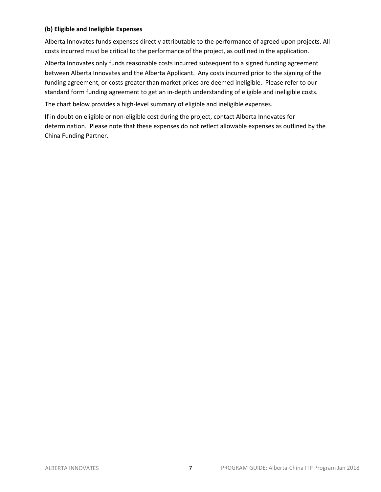#### **(b) Eligible and Ineligible Expenses**

Alberta Innovates funds expenses directly attributable to the performance of agreed upon projects. All costs incurred must be critical to the performance of the project, as outlined in the application.

Alberta Innovates only funds reasonable costs incurred subsequent to a signed funding agreement between Alberta Innovates and the Alberta Applicant. Any costs incurred prior to the signing of the funding agreement, or costs greater than market prices are deemed ineligible. Please refer to our standard form funding agreement to get an in-depth understanding of eligible and ineligible costs.

The chart below provides a high-level summary of eligible and ineligible expenses.

If in doubt on eligible or non-eligible cost during the project, contact Alberta Innovates for determination. Please note that these expenses do not reflect allowable expenses as outlined by the China Funding Partner.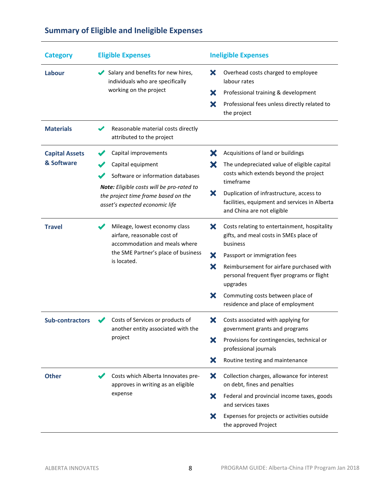| <b>Category</b>                     | <b>Eligible Expenses</b>                                                                                           | <b>Ineligible Expenses</b>                                                                                                   |  |  |
|-------------------------------------|--------------------------------------------------------------------------------------------------------------------|------------------------------------------------------------------------------------------------------------------------------|--|--|
| Labour                              | Salary and benefits for new hires,<br>individuals who are specifically                                             | ×<br>Overhead costs charged to employee<br>labour rates                                                                      |  |  |
|                                     | working on the project                                                                                             | ×<br>Professional training & development                                                                                     |  |  |
|                                     |                                                                                                                    | X<br>Professional fees unless directly related to<br>the project                                                             |  |  |
| <b>Materials</b>                    | Reasonable material costs directly<br>attributed to the project                                                    |                                                                                                                              |  |  |
| <b>Capital Assets</b><br>& Software | Capital improvements                                                                                               | Х<br>Acquisitions of land or buildings                                                                                       |  |  |
|                                     | Capital equipment                                                                                                  | The undepreciated value of eligible capital<br>Х                                                                             |  |  |
|                                     | Software or information databases                                                                                  | costs which extends beyond the project<br>timeframe                                                                          |  |  |
|                                     | Note: Eligible costs will be pro-rated to<br>the project time frame based on the<br>asset's expected economic life | ×<br>Duplication of infrastructure, access to<br>facilities, equipment and services in Alberta<br>and China are not eligible |  |  |
| <b>Travel</b>                       | Mileage, lowest economy class<br>airfare, reasonable cost of<br>accommodation and meals where                      | Х<br>Costs relating to entertainment, hospitality<br>gifts, and meal costs in SMEs place of<br>business                      |  |  |
|                                     | the SME Partner's place of business                                                                                | ×<br>Passport or immigration fees                                                                                            |  |  |
|                                     | is located.                                                                                                        | X<br>Reimbursement for airfare purchased with<br>personal frequent flyer programs or flight<br>upgrades                      |  |  |
|                                     |                                                                                                                    | ×<br>Commuting costs between place of<br>residence and place of employment                                                   |  |  |
| <b>Sub-contractors</b>              | Costs of Services or products of<br>another entity associated with the                                             | X<br>Costs associated with applying for<br>government grants and programs                                                    |  |  |
|                                     | project                                                                                                            | Provisions for contingencies, technical or<br>×<br>professional journals                                                     |  |  |
|                                     |                                                                                                                    | Routine testing and maintenance<br>Х                                                                                         |  |  |
| <b>Other</b>                        | Costs which Alberta Innovates pre-<br>approves in writing as an eligible                                           | ×<br>Collection charges, allowance for interest<br>on debt, fines and penalties                                              |  |  |
|                                     | expense                                                                                                            | X<br>Federal and provincial income taxes, goods<br>and services taxes                                                        |  |  |
|                                     |                                                                                                                    | Expenses for projects or activities outside<br>X<br>the approved Project                                                     |  |  |

### **Summary of Eligible and Ineligible Expenses**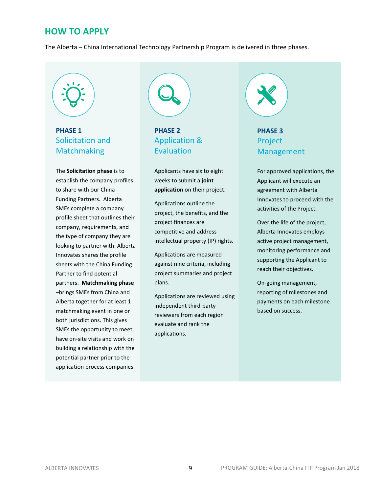### **HOW TO APPLY**

The Alberta – China International Technology Partnership Program is delivered in three phases.

### **PHASE 1** Solicitation and **Matchmaking**

The **Solicitation phase** is to establish the company profiles to share with our China Funding Partners. Alberta SMEs complete a company profile sheet that outlines their company, requirements, and the type of company they are looking to partner with. Alberta Innovates shares the profile sheets with the China Funding Partner to find potential partners. **Matchmaking phase** –brings SMEs from China and Alberta together for at least 1 matchmaking event in one or both jurisdictions. This gives SMEs the opportunity to meet, have on-site visits and work on building a relationship with the potential partner prior to the application process companies.



**PHASE 2** Application & Evaluation

Applicants have six to eight weeks to submit a **joint application** on their project.

Applications outline the project, the benefits, and the project finances are competitive and address intellectual property (IP) rights.

Applications are measured against nine criteria, including project summaries and project plans.

Applications are reviewed using independent third-party reviewers from each region evaluate and rank the applications.

## **PHASE 3** Project Management

For approved applications, the Applicant will execute an agreement with Alberta Innovates to proceed with the activities of the Project.

Over the life of the project, Alberta Innovates employs active project management, monitoring performance and supporting the Applicant to reach their objectives.

On-going management, reporting of milestones and payments on each milestone based on success.